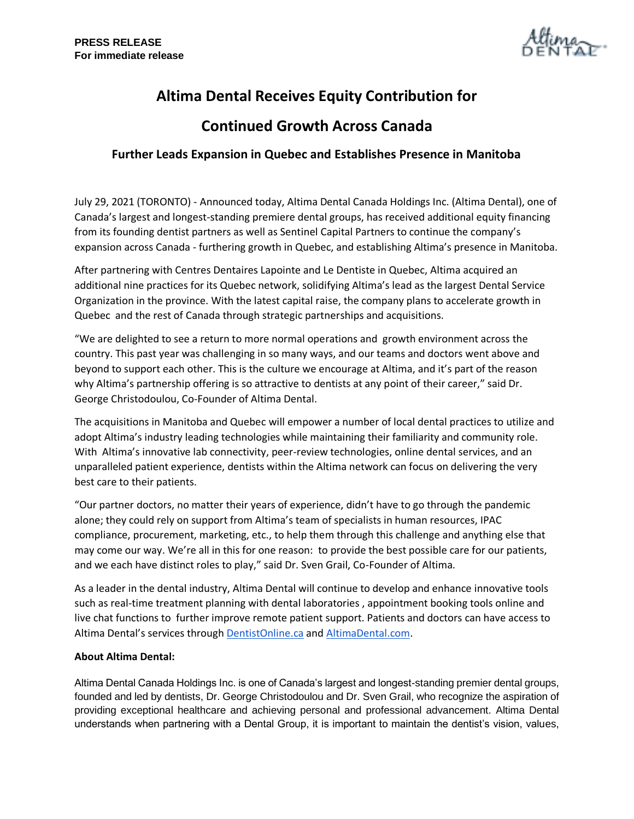

# **Altima Dental Receives Equity Contribution for**

## **Continued Growth Across Canada**

## **Further Leads Expansion in Quebec and Establishes Presence in Manitoba**

July 29, 2021 (TORONTO) - Announced today, Altima Dental Canada Holdings Inc. (Altima Dental), one of Canada's largest and longest-standing premiere dental groups, has received additional equity financing from its founding dentist partners as well as Sentinel Capital Partners to continue the company's expansion across Canada - furthering growth in Quebec, and establishing Altima's presence in Manitoba.

After partnering with Centres Dentaires Lapointe and Le Dentiste in Quebec, Altima acquired an additional nine practices for its Quebec network, solidifying Altima's lead as the largest Dental Service Organization in the province. With the latest capital raise, the company plans to accelerate growth in Quebec and the rest of Canada through strategic partnerships and acquisitions.

"We are delighted to see a return to more normal operations and growth environment across the country. This past year was challenging in so many ways, and our teams and doctors went above and beyond to support each other. This is the culture we encourage at Altima, and it's part of the reason why Altima's partnership offering is so attractive to dentists at any point of their career," said Dr. George Christodoulou, Co-Founder of Altima Dental.

The acquisitions in Manitoba and Quebec will empower a number of local dental practices to utilize and adopt Altima's industry leading technologies while maintaining their familiarity and community role. With Altima's innovative lab connectivity, peer-review technologies, online dental services, and an unparalleled patient experience, dentists within the Altima network can focus on delivering the very best care to their patients.

"Our partner doctors, no matter their years of experience, didn't have to go through the pandemic alone; they could rely on support from Altima's team of specialists in human resources, IPAC compliance, procurement, marketing, etc., to help them through this challenge and anything else that may come our way. We're all in this for one reason: to provide the best possible care for our patients, and we each have distinct roles to play," said Dr. Sven Grail, Co-Founder of Altima.

As a leader in the dental industry, Altima Dental will continue to develop and enhance innovative tools such as real-time treatment planning with dental laboratories , appointment booking tools online and live chat functions to further improve remote patient support. Patients and doctors can have access to Altima Dental's services through [DentistOnline.ca](http://www.dentistonline.ca/) and [AltimaDental.com.](http://www.altimadental.com/)

### **About Altima Dental:**

Altima Dental Canada Holdings Inc. is one of Canada's largest and longest-standing premier dental groups, founded and led by dentists, Dr. George Christodoulou and Dr. Sven Grail, who recognize the aspiration of providing exceptional healthcare and achieving personal and professional advancement. Altima Dental understands when partnering with a Dental Group, it is important to maintain the dentist's vision, values,